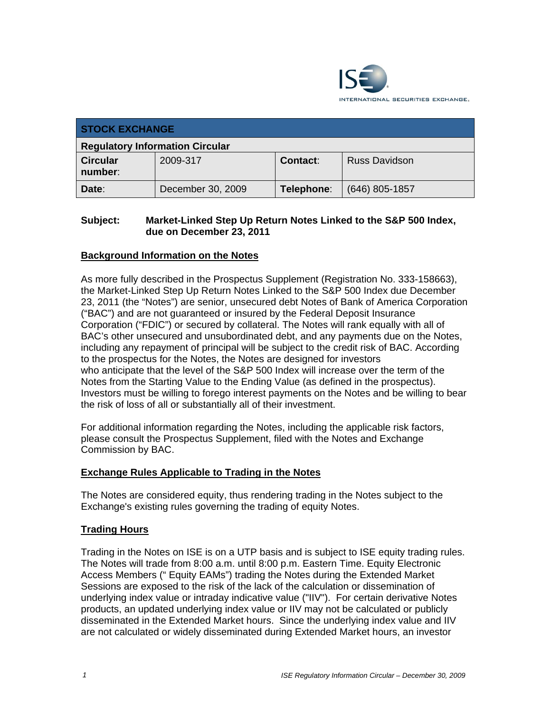

| <b>STOCK EXCHANGE</b>                  |                   |            |                  |  |
|----------------------------------------|-------------------|------------|------------------|--|
| <b>Regulatory Information Circular</b> |                   |            |                  |  |
| <b>Circular</b><br>number:             | 2009-317          | Contact:   | Russ Davidson    |  |
| Date:                                  | December 30, 2009 | Telephone: | $(646)$ 805-1857 |  |

#### **Subject: Market-Linked Step Up Return Notes Linked to the S&P 500 Index, due on December 23, 2011**

## **Background Information on the Notes**

As more fully described in the Prospectus Supplement (Registration No. 333-158663), the Market-Linked Step Up Return Notes Linked to the S&P 500 Index due December 23, 2011 (the "Notes") are senior, unsecured debt Notes of Bank of America Corporation ("BAC") and are not guaranteed or insured by the Federal Deposit Insurance Corporation ("FDIC") or secured by collateral. The Notes will rank equally with all of BAC's other unsecured and unsubordinated debt, and any payments due on the Notes, including any repayment of principal will be subject to the credit risk of BAC. According to the prospectus for the Notes, the Notes are designed for investors who anticipate that the level of the S&P 500 Index will increase over the term of the Notes from the Starting Value to the Ending Value (as defined in the prospectus). Investors must be willing to forego interest payments on the Notes and be willing to bear the risk of loss of all or substantially all of their investment.

For additional information regarding the Notes, including the applicable risk factors, please consult the Prospectus Supplement, filed with the Notes and Exchange Commission by BAC.

#### **Exchange Rules Applicable to Trading in the Notes**

The Notes are considered equity, thus rendering trading in the Notes subject to the Exchange's existing rules governing the trading of equity Notes.

#### **Trading Hours**

Trading in the Notes on ISE is on a UTP basis and is subject to ISE equity trading rules. The Notes will trade from 8:00 a.m. until 8:00 p.m. Eastern Time. Equity Electronic Access Members (" Equity EAMs") trading the Notes during the Extended Market Sessions are exposed to the risk of the lack of the calculation or dissemination of underlying index value or intraday indicative value ("IIV"). For certain derivative Notes products, an updated underlying index value or IIV may not be calculated or publicly disseminated in the Extended Market hours. Since the underlying index value and IIV are not calculated or widely disseminated during Extended Market hours, an investor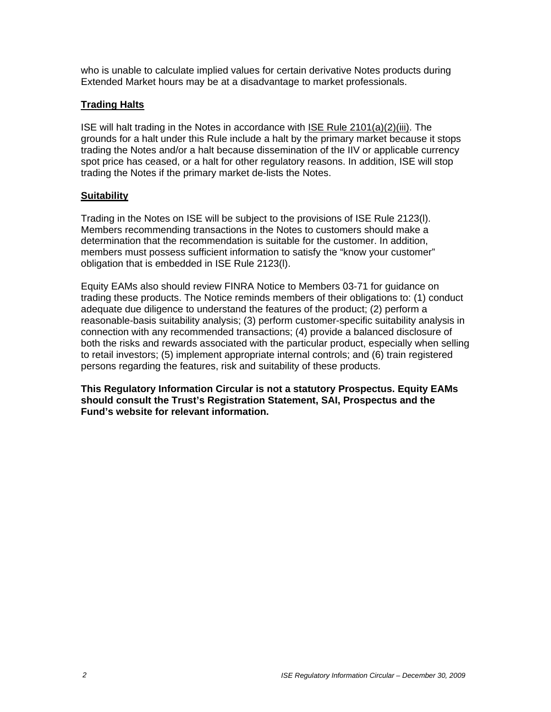who is unable to calculate implied values for certain derivative Notes products during Extended Market hours may be at a disadvantage to market professionals.

### **Trading Halts**

ISE will halt trading in the Notes in accordance with ISE Rule 2101(a)(2)(iii). The grounds for a halt under this Rule include a halt by the primary market because it stops trading the Notes and/or a halt because dissemination of the IIV or applicable currency spot price has ceased, or a halt for other regulatory reasons. In addition, ISE will stop trading the Notes if the primary market de-lists the Notes.

#### **Suitability**

Trading in the Notes on ISE will be subject to the provisions of ISE Rule 2123(l). Members recommending transactions in the Notes to customers should make a determination that the recommendation is suitable for the customer. In addition, members must possess sufficient information to satisfy the "know your customer" obligation that is embedded in ISE Rule 2123(l).

Equity EAMs also should review FINRA Notice to Members 03-71 for guidance on trading these products. The Notice reminds members of their obligations to: (1) conduct adequate due diligence to understand the features of the product; (2) perform a reasonable-basis suitability analysis; (3) perform customer-specific suitability analysis in connection with any recommended transactions; (4) provide a balanced disclosure of both the risks and rewards associated with the particular product, especially when selling to retail investors; (5) implement appropriate internal controls; and (6) train registered persons regarding the features, risk and suitability of these products.

**This Regulatory Information Circular is not a statutory Prospectus. Equity EAMs should consult the Trust's Registration Statement, SAI, Prospectus and the Fund's website for relevant information.**